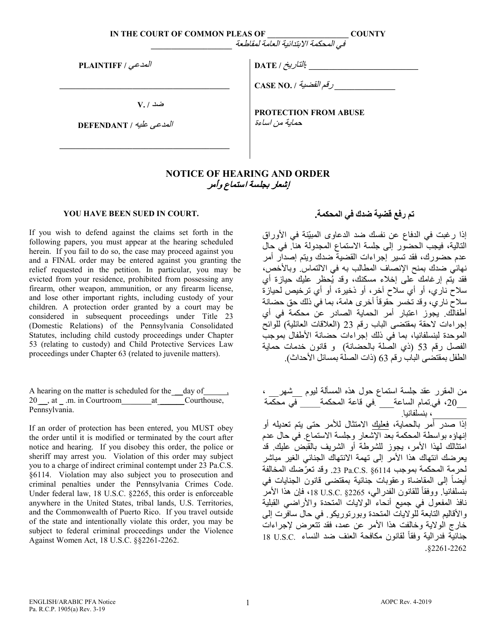**IN THE COURT OF COMMON PLEAS OF \_\_\_\_\_\_\_\_\_\_\_\_\_\_\_\_\_\_\_\_ COUNTY**

في المحكمة الابتدائیة العامة لمقاطعة *\_\_\_\_\_\_\_\_\_\_\_\_\_\_\_\_\_\_\_\_*

المدعي **/ PLAINTIFF**

ضد **/ .V**

 **\_\_\_\_\_\_\_\_\_\_\_\_\_\_\_\_\_\_\_\_\_\_\_\_\_\_\_\_\_\_\_\_\_\_\_\_\_\_\_\_\_\_**

 **\_\_\_\_\_\_\_\_\_\_\_\_\_\_\_\_\_\_\_\_\_\_\_\_\_\_\_\_\_\_\_\_\_\_\_\_\_\_\_\_\_\_**

المدعى علیھ **/ DEFENDANT** 

**\_\_\_\_\_\_\_\_\_\_\_\_\_\_\_\_\_\_\_\_\_\_\_\_\_\_\_** *:*التاریخ **/ DATE**

 **\_\_\_\_\_\_\_\_\_\_\_\_\_\_\_** رقم القضیة **/ .NO CASE**

**PROTECTION FROM ABUSE** حمایة من اساءة

## **NOTICE OF HEARING AND ORDER** إشعار بجلسة استماع وأمر

## **YOU HAVE BEEN SUED IN COURT.**

If you wish to defend against the claims set forth in the following papers, you must appear at the hearing scheduled herein. If you fail to do so, the case may proceed against you and a FINAL order may be entered against you granting the relief requested in the petition. In particular, you may be evicted from your residence, prohibited from possessing any firearm, other weapon, ammunition, or any firearm license, and lose other important rights, including custody of your children. A protection order granted by a court may be considered in subsequent proceedings under Title 23 (Domestic Relations) of the Pennsylvania Consolidated Statutes, including child custody proceedings under Chapter 53 (relating to custody) and Child Protective Services Law proceedings under Chapter 63 (related to juvenile matters).

|               | A hearing on the matter is scheduled for the day of , |  |  |
|---------------|-------------------------------------------------------|--|--|
|               | 20, at .m. in Courtroom at Courthouse,                |  |  |
| Pennsylvania. |                                                       |  |  |

If an order of protection has been entered, you MUST obey the order until it is modified or terminated by the court after notice and hearing. If you disobey this order, the police or sheriff may arrest you. Violation of this order may subject you to a charge of indirect criminal contempt under 23 Pa.C.S. §6114. Violation may also subject you to prosecution and criminal penalties under the Pennsylvania Crimes Code. Under federal law, 18 U.S.C. §2265, this order is enforceable anywhere in the United States, tribal lands, U.S. Territories, and the Commonwealth of Puerto Rico. If you travel outside of the state and intentionally violate this order, you may be subject to federal criminal proceedings under the Violence Against Women Act, 18 U.S.C. §§2261-2262.

## **تم رفع قضیة ضدك في المحكمة.**

إذا رغبت في الدفاع عن نفسك ضد الدعاوى المبيّنة في الأوراق التالیة، فیجب الحضور إلى جلسة الاستماع المجدولة ھنا. في حال عدم حضورك، فقد تسیر إجراءات القضیة ضدك ویتم إصدار أمر نهائي ضدك بمنح الإنصاف المطالب به في الالتماس وبالأخص، فقد بتم إرغامك على إخلاء مسكنك، وقد يُحظر عليك حيازة أي سلاح ناري، أو أي سلاح آخر، أو ذخیرة، أو أي ترخیص لحیازة سلاح ناري، وقد تخسر حقوقاً أخرى هامة، بما في ذلك حق حضانة أطفالك. یجوز أمر اعتبار الحمایة الصادر عن محكمة في أي إجراءات لاحقة بمقتضى الباب قر م 23 (العلاقات العائلیة) للوائح الموحدة لبنسلفانیا، بما في ذلك إجراءات حضانة الأطفال بموجب الفصل رقم 53 (ذي الصلة بالحضانة) و قانون خدمات حمایة الطفل بمقتضى الباب رقم 63 (ذات الصلة بمسائل الأحداث).

من المقرر عقد جلسة استماع حول ھذه المسألة لیوم \_\_ شھر \_\_ ، 20\_\_ ، في.تمام الساعة\_\_\_ .في قاعة المحكمة\_\_\_\_\_ في محكمة \_\_\_\_\_\_\_، بنسلفانیا. إذا ص رد أمر بالحمایة، فعلیك الامتثال للأمر حتى یتم تعدیلھ أو إنھاؤه بواسطة المحكمة بعد الإشعار وجلسة الاستماع. في حال عدم امتثالك لھذا الأمر، یجوز للشرطة أو الشریف بالقبض علیك . قد یعرضك انتھاك ھذا الأمر إلى تھمة الانتھاك الجنائي الغیر مباشر لحرمة المحكمة بموجب 6114§ .S.C.Pa .23 وقد ّ تعرضك المخالفة أیضاً إلى المقاضاة وعقوبات جنائية بمقتضى قانون الجنایات في بنسلفانیا. ووفقا 2265§ .C.S.U ،18 فإن ھذا الأمر ً للقانون الفدرالي، نافذ المفعول في جمیع أنحاء الولایات المتحدة والأراضي القبلیة والأقاليم التابعة للولايات المتحدة وبورتوريكو. في حال سافرت إلى خارج الولایة وخالفت ھذا الأمر عن عمد، فقد تتعرض لإجراءات جنائية فدر الیة وفقاً لقانون مكافحة العنف ضد النساء .U.S.C . §2261-2262